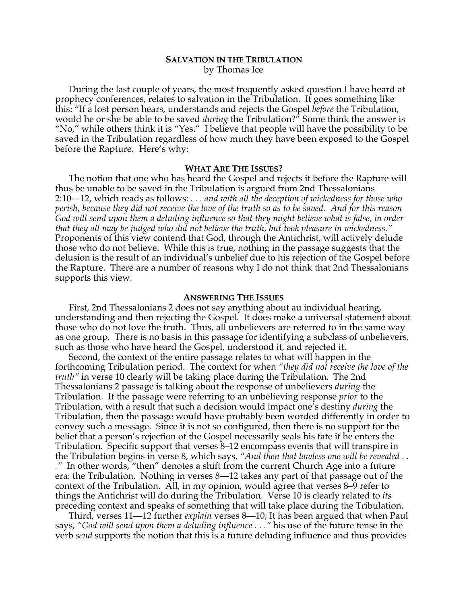# **SALVATION IN THE TRIBULATION** by Thomas Ice

During the last couple of years, the most frequently asked question I have heard at prophecy conferences, relates to salvation in the Tribulation. It goes something like this: "If a lost person hears, understands and rejects the Gospel *before* the Tribulation, would he or she be able to be saved *during* the Tribulation?" Some think the answer is "No," while others think it is "Yes." I believe that people will have the possibility to be saved in the Tribulation regardless of how much they have been exposed to the Gospel before the Rapture. Here's why:

### **WHAT ARE THE ISSUES?**

The notion that one who has heard the Gospel and rejects it before the Rapture will thus be unable to be saved in the Tribulation is argued from 2nd Thessalonians 2:10—12, which reads as follows: *. . . and with all the deception of wickedness for those who perish, because they did not receive the love of the truth so as to be saved. And for this reason God will send upon them a deluding influence so that they might believe what is false, in order that they all may be judged who did not believe the truth, but took pleasure in wickedness."* Proponents of this view contend that God, through the Antichrist, will actively delude those who do not believe. While this is true, nothing in the passage suggests that the delusion is the result of an individual's unbelief due to his rejection of the Gospel before the Rapture. There are a number of reasons why I do not think that 2nd Thessalonians supports this view.

## **ANSWERING THE ISSUES**

First, 2nd Thessalonians 2 does not say anything about au individual hearing, understanding and then rejecting the Gospel. It does make a universal statement about those who do not love the truth. Thus, all unbelievers are referred to in the same way as one group. There is no basis in this passage for identifying a subclass of unbelievers, such as those who have heard the Gospel, understood it, and rejected it.

Second, the context of the entire passage relates to what will happen in the forthcoming Tribulation period. The context for when *"they did not receive the love of the truth"* in verse 10 clearly will be taking place during the Tribulation. The 2nd Thessalonians 2 passage is talking about the response of unbelievers *during* the Tribulation. If the passage were referring to an unbelieving response *prior* to the Tribulation, with a result that such a decision would impact one's destiny *during* the Tribulation, then the passage would have probably been worded differently in order to convey such a message. Since it is not so configured, then there is no support for the belief that a person's rejection of the Gospel necessarily seals his fate if he enters the Tribulation. Specific support that verses 8–12 encompass events that will transpire in the Tribulation begins in verse 8, which says, *"And then that lawless one will be revealed . . ."* In other words, "then" denotes a shift from the current Church Age into a future era: the Tribulation. Nothing in verses 8—12 takes any part of that passage out of the context of the Tribulation. All, in my opinion, would agree that verses 8–9 refer to things the Antichrist will do during the Tribulation. Verse 10 is clearly related to *its* preceding context and speaks of something that will take place during the Tribulation.

Third, verses 11—12 further *explain* verses 8—10; It has been argued that when Paul says, *"God will send upon them a deluding influence . . ."* his use of the future tense in the verb *send* supports the notion that this is a future deluding influence and thus provides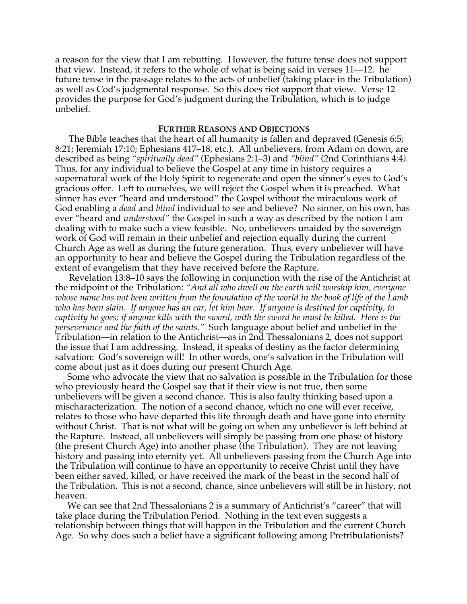a reason for the view that I am rebutting. However, the future tense does not support that view. Instead, it refers to the whole of what is being said in verses 11—12. he future tense in the passage relates to the acts of unbelief (taking place in the Tribulation) as well as Cod's judgmental response. So this does riot support that view. Verse 12 provides the purpose for God's judgment during the Tribulation, which is to judge unbelief.

# **FURTHER REASONS AND OBJECTIONS**

The Bible teaches that the heart of all humanity is fallen and depraved (Genesis 6:5; 8:21; Jeremiah 17:10; Ephesians 417–18, etc.). All unbelievers, from Adam on down, are described as being *"spiritually dead"* (Ephesians 2:1–3) and *"blind"* (2nd Corinthians 4:4*).* Thus, for any individual to believe the Gospel at any time in history requires a supernatural work of the Holy Spirit to regenerate and open the sinner's eyes to God's gracious offer. Left to ourselves, we will reject the Gospel when it is preached. What sinner has ever "heard and understood" the Gospel without the miraculous work of God enabling a *dead* and *blind* individual to see and believe? No sinner, on his own, has ever "heard and *understood"* the Gospel in such a way as described by the notion I am dealing with to make such a view feasible. No, unbelievers unaided by the sovereign work of God will remain in their unbelief and rejection equally during the current Church Age as well as during the future generation. Thus, every unbeliever will have an opportunity to hear and believe the Gospel during the Tribulation regardless of the extent of evangelism that they have received before the Rapture.

Revelation 13:8–10 says the following in conjunction with the rise of the Antichrist at the midpoint of the Tribulation: *"And all who dwell on the earth will worship him, everyone whose name has not been written from the foundation of the world in the book of life of the Lamb who has been slain. If anyone has an ear, let him hear. If anyone is destined for captivity, to captivity he goes; if anyone kills with the sword, with the sword he must be killed. Here is the perseverance and the faith of the saints."* Such language about belief and unbelief in the Tribulation—in relation to the Antichrist—as in 2nd Thessalonians 2, does not support the issue that I am addressing. Instead, it speaks of destiny as the factor determining salvation: God's sovereign will! In other words, one's salvation in the Tribulation will come about just as it does during our present Church Age.

Some who advocate the view that no salvation is possible in the Tribulation for those who previously heard the Gospel say that if their view is not true, then some unbelievers will be given a second chance. This is also faulty thinking based upon a mischaracterization. The notion of a second chance, which no one will ever receive, relates to those who have departed this life through death and have gone into eternity without Christ. That is not what will be going on when any unbeliever is left behind at the Rapture. Instead, all unbelievers will simply be passing from one phase of history (the present Church Age) into another phase (the Tribulation). They are not leaving history and passing into eternity yet. All unbelievers passing from the Church Age into the Tribulation will continue to have an opportunity to receive Christ until they have been either saved, killed, or have received the mark of the beast in the second half of the Tribulation. This is not a second, chance, since unbelievers will still be in history, not heaven.

We can see that 2nd Thessalonians 2 is a summary of Antichrist's "career" that will take place during the Tribulation Period. Nothing in the text even suggests a relationship between things that will happen in the Tribulation and the current Church Age. So why does such a belief have a significant following among Pretribulationists?